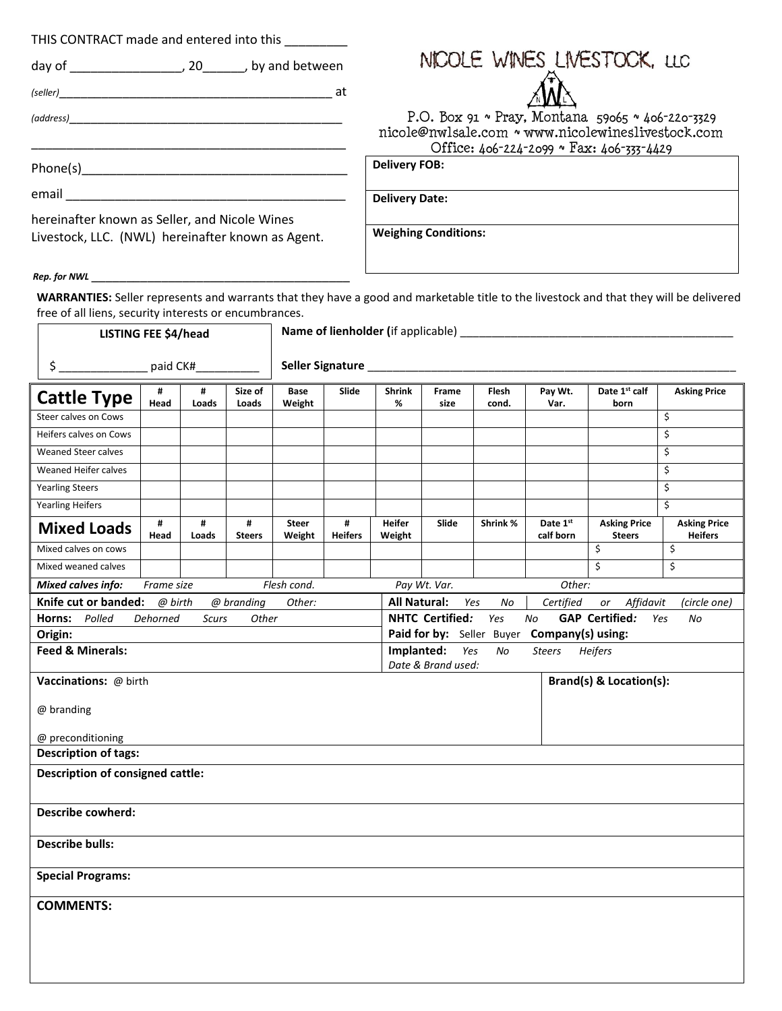THIS CONTRACT made and entered into this \_\_\_\_\_\_\_\_\_

 day of \_\_\_\_\_\_\_\_\_\_\_\_\_\_\_\_, 20\_\_\_\_\_\_, by and between

 *(seller)*\_\_\_\_\_\_\_\_\_\_\_\_\_\_\_\_\_\_\_\_\_\_\_\_\_\_\_\_\_\_\_\_\_\_\_\_\_\_\_ at

\_\_\_\_\_\_\_\_\_\_\_\_\_\_\_\_\_\_\_\_\_\_\_\_\_\_\_\_\_\_\_\_\_\_\_\_\_\_\_\_\_\_\_\_\_

*(address)*\_\_\_\_\_\_\_\_\_\_\_\_\_\_\_\_\_\_\_\_\_\_\_\_\_\_\_\_\_\_\_\_\_\_\_\_\_\_\_



 P.O. Box 91 ~ Pray, Montana 59065 ~ 406-220-3329 [nicole@nwlsale.com](mailto:nicole@nwlsale.com) ~ www.nicolewineslivestock.com Office: 406-224-2099 ~ Fax: 406-333-4429

Phone(s)\_\_\_\_\_\_\_\_\_\_\_\_\_\_\_\_\_\_\_\_\_\_\_\_\_\_\_\_\_\_\_\_\_\_\_\_\_\_

email \_\_\_\_\_\_\_\_\_\_\_\_\_\_\_\_\_\_\_\_\_\_\_\_\_\_\_\_\_\_\_\_\_\_\_\_\_\_\_\_

hereinafter known as Seller, and Nicole Wines Livestock, LLC. (NWL) hereinafter known as Agent. **Delivery Date:**

**Delivery FOB:**

**Weighing Conditions:**

*Rep. for NWL* 

**WARRANTIES:** Seller represents and warrants that they have a good and marketable title to the livestock and that they will be delivered  free of all liens, security interests or encumbrances.

| <b>LISTING FEE \$4/head</b>                                                                                                                 |                                                                                    |              | Name of lienholder (if applicable) |                        |                     |                         |                    |                           |                       |                                      |                                       |
|---------------------------------------------------------------------------------------------------------------------------------------------|------------------------------------------------------------------------------------|--------------|------------------------------------|------------------------|---------------------|-------------------------|--------------------|---------------------------|-----------------------|--------------------------------------|---------------------------------------|
| $\frac{1}{2}$                                                                                                                               | paid CK#                                                                           |              |                                    | Seller Signature       |                     |                         |                    |                           |                       |                                      |                                       |
| <b>Cattle Type</b>                                                                                                                          | #<br>Head                                                                          | #<br>Loads   | Size of<br>Loads                   | Base<br>Weight         | Slide               | <b>Shrink</b><br>%      | Frame<br>size      | Flesh<br>cond.            | Pay Wt.<br>Var.       | Date 1st calf<br>born                | <b>Asking Price</b>                   |
| Steer calves on Cows                                                                                                                        |                                                                                    |              |                                    |                        |                     |                         |                    |                           |                       |                                      | \$                                    |
| Heifers calves on Cows                                                                                                                      |                                                                                    |              |                                    |                        |                     |                         |                    |                           |                       |                                      | $\overline{\xi}$                      |
| Weaned Steer calves                                                                                                                         |                                                                                    |              |                                    |                        |                     |                         |                    |                           |                       |                                      | \$                                    |
| Weaned Heifer calves                                                                                                                        |                                                                                    |              |                                    |                        |                     |                         |                    |                           |                       |                                      | \$                                    |
| <b>Yearling Steers</b>                                                                                                                      |                                                                                    |              |                                    |                        |                     |                         |                    |                           |                       |                                      | $\overline{\mathsf{S}}$               |
| <b>Yearling Heifers</b>                                                                                                                     |                                                                                    |              |                                    |                        |                     |                         |                    |                           |                       |                                      | $\overline{\mathsf{S}}$               |
| <b>Mixed Loads</b>                                                                                                                          | #<br>Head                                                                          | #<br>Loads   | #<br><b>Steers</b>                 | <b>Steer</b><br>Weight | #<br><b>Heifers</b> | <b>Heifer</b><br>Weight | Slide              | Shrink %                  | Date 1st<br>calf born | <b>Asking Price</b><br><b>Steers</b> | <b>Asking Price</b><br><b>Heifers</b> |
| Mixed calves on cows                                                                                                                        |                                                                                    |              |                                    |                        |                     |                         |                    |                           |                       | \$                                   | \$                                    |
| Mixed weaned calves                                                                                                                         |                                                                                    |              |                                    |                        |                     |                         |                    |                           |                       | \$                                   | \$                                    |
| <b>Mixed calves info:</b>                                                                                                                   | Frame size                                                                         |              |                                    | Flesh cond.            |                     |                         | Pay Wt. Var.       |                           | Other:                |                                      |                                       |
| Knife cut or banded:<br><b>All Natural:</b><br>@ birth<br>@ branding<br>Other:<br>Yes<br>Certified<br>Affidavit<br>No<br>or<br>(circle one) |                                                                                    |              |                                    |                        |                     |                         |                    |                           |                       |                                      |                                       |
| Horns:<br>Polled                                                                                                                            | Dehorned                                                                           | <b>Scurs</b> | Other                              |                        |                     |                         | NHTC Certified:    | Yes                       | No                    | <b>GAP Certified:</b>                | Yes<br>No                             |
| Origin:                                                                                                                                     |                                                                                    |              |                                    |                        |                     |                         |                    | Paid for by: Seller Buyer | Company(s) using:     |                                      |                                       |
|                                                                                                                                             | <b>Feed &amp; Minerals:</b><br>Implanted:<br>Yes<br>Heifers<br>No<br><b>Steers</b> |              |                                    |                        |                     |                         |                    |                           |                       |                                      |                                       |
| <b>Vaccinations: @ birth</b>                                                                                                                |                                                                                    |              |                                    |                        |                     |                         | Date & Brand used: |                           |                       | Brand(s) & Location(s):              |                                       |
|                                                                                                                                             |                                                                                    |              |                                    |                        |                     |                         |                    |                           |                       |                                      |                                       |
| @ branding                                                                                                                                  |                                                                                    |              |                                    |                        |                     |                         |                    |                           |                       |                                      |                                       |
|                                                                                                                                             |                                                                                    |              |                                    |                        |                     |                         |                    |                           |                       |                                      |                                       |
| @ preconditioning                                                                                                                           |                                                                                    |              |                                    |                        |                     |                         |                    |                           |                       |                                      |                                       |
| <b>Description of tags:</b>                                                                                                                 |                                                                                    |              |                                    |                        |                     |                         |                    |                           |                       |                                      |                                       |
| <b>Description of consigned cattle:</b>                                                                                                     |                                                                                    |              |                                    |                        |                     |                         |                    |                           |                       |                                      |                                       |
| Describe cowherd:                                                                                                                           |                                                                                    |              |                                    |                        |                     |                         |                    |                           |                       |                                      |                                       |
| <b>Describe bulls:</b>                                                                                                                      |                                                                                    |              |                                    |                        |                     |                         |                    |                           |                       |                                      |                                       |
| <b>Special Programs:</b>                                                                                                                    |                                                                                    |              |                                    |                        |                     |                         |                    |                           |                       |                                      |                                       |
| <b>COMMENTS:</b>                                                                                                                            |                                                                                    |              |                                    |                        |                     |                         |                    |                           |                       |                                      |                                       |
|                                                                                                                                             |                                                                                    |              |                                    |                        |                     |                         |                    |                           |                       |                                      |                                       |
|                                                                                                                                             |                                                                                    |              |                                    |                        |                     |                         |                    |                           |                       |                                      |                                       |
|                                                                                                                                             |                                                                                    |              |                                    |                        |                     |                         |                    |                           |                       |                                      |                                       |